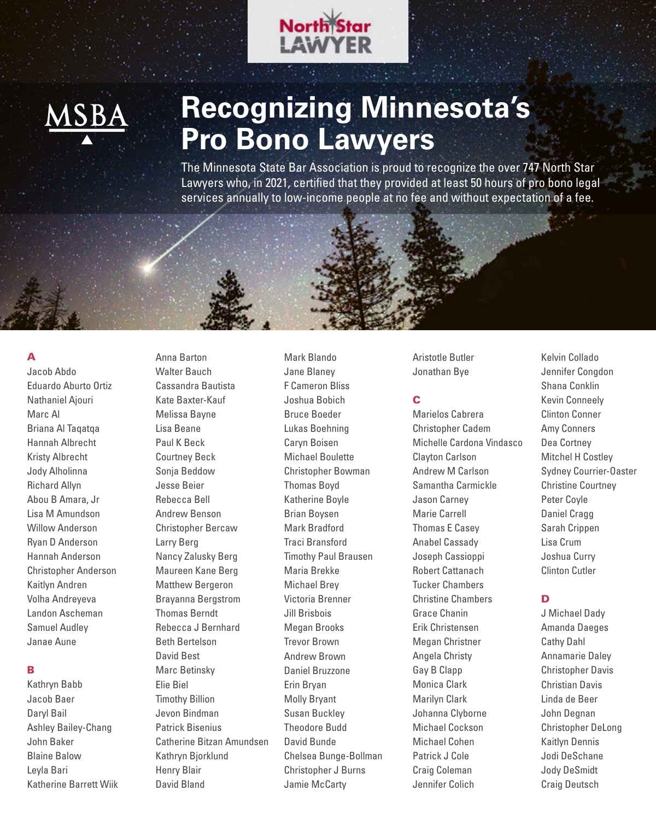



## **Recognizing Minnesota's Pro Bono Lawyers**

The Minnesota State Bar Association is proud to recognize the over 747 North Star Lawyers who, in 2021, certified that they provided at least 50 hours of pro bono legal services annually to low-income people at no fee and without expectation of a fee.

#### A

Jacob Abdo Eduardo Aburto Ortiz Nathaniel Ajouri Marc Al Briana Al Taqatqa Hannah Albrecht Kristy Albrecht Jody Alholinna Richard Allyn Abou B Amara, Jr Lisa M Amundson Willow Anderson Ryan D Anderson Hannah Anderson Christopher Anderson Kaitlyn Andren Volha Andreyeva Landon Ascheman Samuel Audley Janae Aune

#### B

Kathryn Babb Jacob Baer Daryl Bail Ashley Bailey-Chang John Baker Blaine Balow Leyla Bari Katherine Barrett Wiik Anna Barton Walter Bauch Cassandra Bautista Kate Baxter-Kauf Melissa Bayne Lisa Beane Paul K Beck Courtney Beck Sonja Beddow Jesse Beier Rebecca Bell Andrew Benson Christopher Bercaw Larry Berg Nancy Zalusky Berg Maureen Kane Berg Matthew Bergeron Brayanna Bergstrom Thomas Berndt Rebecca J Bernhard Beth Bertelson David Best Marc Betinsky Elie Biel Timothy Billion Jevon Bindman Patrick Bisenius Catherine Bitzan Amundsen Kathryn Bjorklund Henry Blair

David Bland

Mark Blando Jane Blaney F Cameron Bliss Joshua Bobich Bruce Boeder Lukas Boehning Caryn Boisen Michael Boulette Christopher Bowman Thomas Boyd Katherine Boyle Brian Boysen Mark Bradford Traci Bransford Timothy Paul Brausen Maria Brekke Michael Brey Victoria Brenner Jill Brisbois Megan Brooks Trevor Brown Andrew Brown Daniel Bruzzone Erin Bryan Molly Bryant Susan Buckley Theodore Budd David Bunde Chelsea Bunge-Bollman Christopher J Burns Jamie McCarty

Aristotle Butler Jonathan Bye

#### C

Marielos Cabrera Christopher Cadem Michelle Cardona Vindasco Clayton Carlson Andrew M Carlson Samantha Carmickle Jason Carney Marie Carrell Thomas E Casey Anabel Cassady Joseph Cassioppi Robert Cattanach Tucker Chambers Christine Chambers Grace Chanin Erik Christensen Megan Christner Angela Christy Gay B Clapp Monica Clark Marilyn Clark Johanna Clyborne Michael Cockson Michael Cohen Patrick J Cole Craig Coleman Jennifer Colich

Kelvin Collado Jennifer Congdon Shana Conklin Kevin Conneely Clinton Conner Amy Conners Dea Cortney Mitchel H Costley Sydney Courrier-Oaster Christine Courtney Peter Coyle Daniel Cragg Sarah Crippen Lisa Crum Joshua Curry Clinton Cutler

#### D

J Michael Dady Amanda Daeges Cathy Dahl Annamarie Daley Christopher Davis Christian Davis Linda de Beer John Degnan Christopher DeLong Kaitlyn Dennis Jodi DeSchane Jody DeSmidt Craig Deutsch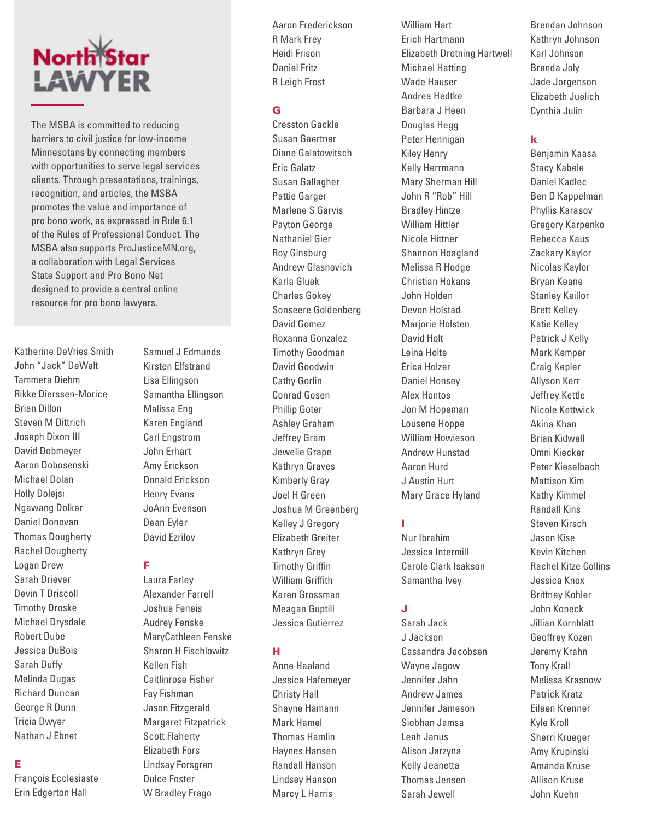# **North Star** LAWYER

The MSBA is committed to reducing barriers to civil justice for low-income Minnesotans by connecting members with opportunities to serve legal services clients. Through presentations, trainings, recognition, and articles, the MSBA promotes the value and importance of pro bono work, as expressed in Rule 6.1 of the Rules of Professional Conduct. The MSBA also supports ProJusticeMN.org, a collaboration with Legal Services State Support and Pro Bono Net designed to provide a central online resource for pro bono lawyers.

Katherine DeVries Smith John "Jack" DeWalt Tammera Diehm Rikke Dierssen-Morice Brian Dillon Steven M Dittrich Joseph Dixon III David Dobmeyer Aaron Dobosenski Michael Dolan Holly Dolejsi Ngawang Dolker Daniel Donovan Thomas Dougherty Rachel Dougherty Logan Drew Sarah Driever Devin T Driscoll Timothy Droske Michael Drysdale Robert Dube Jessica DuBois Sarah Duffy Melinda Dugas Richard Duncan George R Dunn Tricia Dwyer Nathan J Ebnet

#### E

François Ecclesiaste Erin Edgerton Hall

Kirsten Elfstrand Lisa Ellingson Samantha Ellingson Malissa Eng Karen England Carl Engstrom John Erhart Amy Erickson Donald Erickson Henry Evans JoAnn Evenson Dean Eyler David Ezrilov

Samuel J Edmunds

#### F

Laura Farley Alexander Farrell Joshua Feneis Audrey Fenske MaryCathleen Fenske Sharon H Fischlowitz Kellen Fish Caitlinrose Fisher Fay Fishman Jason Fitzgerald Margaret Fitzpatrick Scott Flaherty Elizabeth Fors Lindsay Forsgren Dulce Foster W Bradley Frago

Aaron Frederickson R Mark Frey Heidi Frison Daniel Fritz R Leigh Frost

#### G

Cresston Gackle Susan Gaertner Diane Galatowitsch Eric Galatz Susan Gallagher Pattie Garger Marlene S Garvis Payton George Nathaniel Gier Roy Ginsburg Andrew Glasnovich Karla Gluek Charles Gokey Sonseere Goldenberg David Gomez Roxanna Gonzalez Timothy Goodman David Goodwin Cathy Gorlin Conrad Gosen Phillip Goter Ashley Graham Jeffrey Gram Jewelie Grape Kathryn Graves Kimberly Gray Joel H Green Joshua M Greenberg Kelley J Gregory Elizabeth Greiter Kathryn Grey Timothy Griffin William Griffith Karen Grossman Meagan Guptill Jessica Gutierrez

#### H

Anne Haaland Jessica Hafemeyer Christy Hall Shayne Hamann Mark Hamel Thomas Hamlin Haynes Hansen Randall Hanson Lindsey Hanson Marcy L Harris

William Hart Erich Hartmann Elizabeth Drotning Hartwell Michael Hatting Wade Hauser Andrea Hedtke Barbara J Heen Douglas Hegg Peter Hennigan Kiley Henry Kelly Herrmann Mary Sherman Hill John R "Rob" Hill Bradley Hintze William Hittler Nicole Hittner Shannon Hoagland Melissa R Hodge Christian Hokans John Holden Devon Holstad Mariorie Holsten David Holt Leina Holte Erica Holzer Daniel Honsey Alex Hontos Jon M Hopeman Lousene Hoppe William Howieson Andrew Hunstad Aaron Hurd J Austin Hurt Mary Grace Hyland

#### I

Nur Ibrahim Jessica Intermill Carole Clark Isakson Samantha Ivey

#### J

Sarah Jack J Jackson Cassandra Jacobsen Wayne Jagow Jennifer Jahn Andrew James Jennifer Jameson Siobhan Jamsa Leah Janus Alison Jarzyna Kelly Jeanetta Thomas Jensen Sarah Jewell

Brendan Johnson Kathryn Johnson Karl Johnson Brenda Joly Jade Jorgenson Elizabeth Juelich Cynthia Julin

#### k

Benjamin Kaasa Stacy Kabele Daniel Kadlec Ben D Kappelman Phyllis Karasov Gregory Karpenko Rebecca Kaus Zackary Kaylor Nicolas Kaylor Bryan Keane Stanley Keillor Brett Kelley Katie Kelley Patrick J Kelly Mark Kemper Craig Kepler Allyson Kerr Jeffrey Kettle Nicole Kettwick Akina Khan Brian Kidwell Omni Kiecker Peter Kieselbach Mattison Kim Kathy Kimmel Randall Kins Steven Kirsch Jason Kise Kevin Kitchen Rachel Kitze Collins Jessica Knox Brittney Kohler John Koneck Jillian Kornblatt Geoffrey Kozen Jeremy Krahn Tony Krall Melissa Krasnow Patrick Kratz Eileen Krenner Kyle Kroll Sherri Krueger Amy Krupinski Amanda Kruse Allison Kruse John Kuehn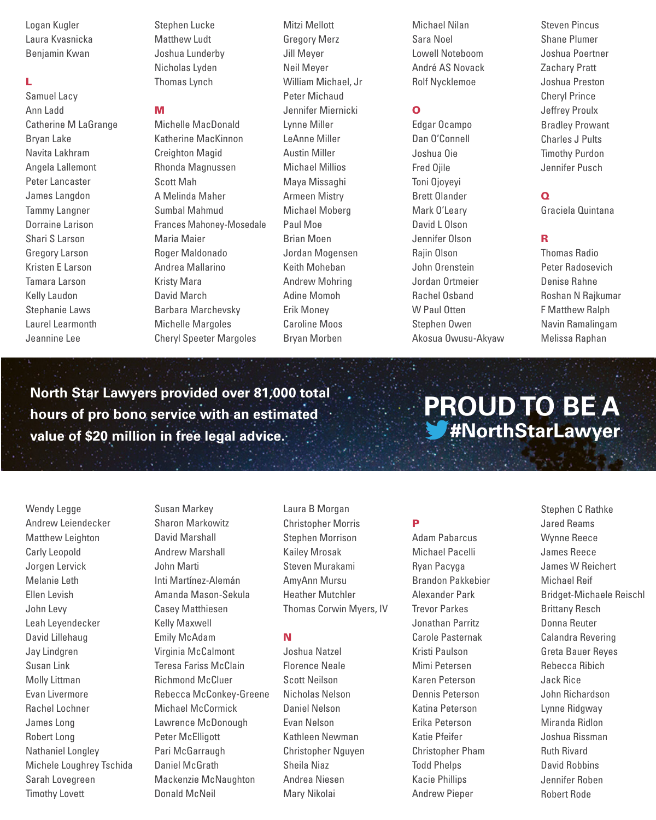Logan Kugler Laura Kvasnicka Benjamin Kwan

#### L

Samuel Lacy Ann Ladd Catherine M LaGrange Bryan Lake Navita Lakhram Angela Lallemont Peter Lancaster James Langdon Tammy Langner Dorraine Larison Shari S Larson Gregory Larson Kristen E Larson Tamara Larson Kelly Laudon Stephanie Laws Laurel Learmonth Jeannine Lee

Stephen Lucke Matthew Ludt Joshua Lunderby Nicholas Lyden Thomas Lynch

#### M

Michelle MacDonald Katherine MacKinnon Creighton Magid Rhonda Magnussen Scott Mah A Melinda Maher Sumbal Mahmud Frances Mahoney-Mosedale Maria Maier Roger Maldonado Andrea Mallarino Kristy Mara David March Barbara Marchevsky Michelle Margoles Cheryl Speeter Margoles

Mitzi Mellott Gregory Merz Jill Meyer Neil Meyer William Michael, Jr Peter Michaud Jennifer Miernicki Lynne Miller LeAnne Miller Austin Miller Michael Millios Maya Missaghi Armeen Mistry Michael Moberg Paul Moe Brian Moen Jordan Mogensen Keith Moheban Andrew Mohring Adine Momoh Erik Money Caroline Moos Bryan Morben

Michael Nilan Sara Noel Lowell Noteboom André AS Novack Rolf Nycklemoe

#### O

Edgar Ocampo Dan O'Connell Joshua Oie Fred Ojile Toni Ojoyeyi Brett Olander Mark O'Leary David L Olson Jennifer Olson Rajin Olson John Orenstein Jordan Ortmeier Rachel Osband W Paul Otten Stephen Owen Akosua Owusu-Akyaw Steven Pincus Shane Plumer Joshua Poertner Zachary Pratt Joshua Preston Cheryl Prince Jeffrey Proulx Bradley Prowant Charles J Pults Timothy Purdon Jennifer Pusch

#### $\Omega$

Graciela Quintana

#### R

Thomas Radio Peter Radosevich Denise Rahne Roshan N Rajkumar F Matthew Ralph Navin Ramalingam Melissa Raphan

**North Star Lawyers provided over 81,000 total hours of pro bono service with an estimated value of \$20 million in free legal advice.**

**PROUD TO BE A #NorthStarLawyer**

Wendy Legge Andrew Leiendecker Matthew Leighton Carly Leopold Jorgen Lervick Melanie Leth Ellen Levish John Levy Leah Leyendecker David Lillehaug Jay Lindgren Susan Link Molly Littman Evan Livermore Rachel Lochner James Long Robert Long Nathaniel Longley Michele Loughrey Tschida Sarah Lovegreen Timothy Lovett

Susan Markey Sharon Markowitz David Marshall Andrew Marshall John Marti Inti Martínez-Alemán Amanda Mason-Sekula Casey Matthiesen Kelly Maxwell Emily McAdam Virginia McCalmont Teresa Fariss McClain Richmond McCluer Rebecca McConkey-Greene Michael McCormick Lawrence McDonough Peter McElligott Pari McGarraugh Daniel McGrath Mackenzie McNaughton Donald McNeil

Laura B Morgan Christopher Morris Stephen Morrison Kailey Mrosak Steven Murakami AmyAnn Mursu Heather Mutchler Thomas Corwin Myers, IV

#### N

Joshua Natzel Florence Neale Scott Neilson Nicholas Nelson Daniel Nelson Evan Nelson Kathleen Newman Christopher Nguyen Sheila Niaz Andrea Niesen Mary Nikolai

#### P

Adam Pabarcus Michael Pacelli Ryan Pacyga Brandon Pakkebier Alexander Park Trevor Parkes Jonathan Parritz Carole Pasternak Kristi Paulson Mimi Petersen Karen Peterson Dennis Peterson Katina Peterson Erika Peterson Katie Pfeifer Christopher Pham Todd Phelps Kacie Phillips Andrew Pieper

Stephen C Rathke Jared Reams Wynne Reece James Reece James W Reichert Michael Reif Bridget-Michaele Reischl Brittany Resch Donna Reuter Calandra Revering Greta Bauer Reyes Rebecca Ribich Jack Rice John Richardson Lynne Ridgway Miranda Ridlon Joshua Rissman Ruth Rivard David Robbins Jennifer Roben Robert Rode